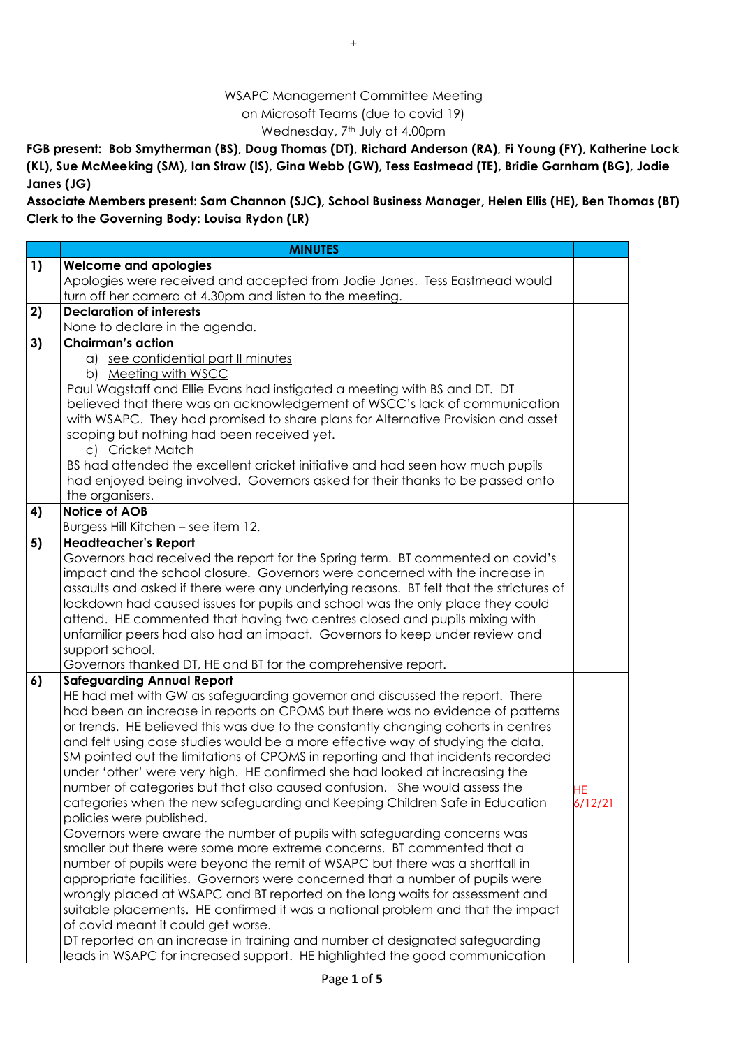## WSAPC Management Committee Meeting on Microsoft Teams (due to covid 19) Wednesday, 7<sup>th</sup> July at 4.00pm

**FGB present: Bob Smytherman (BS), Doug Thomas (DT), Richard Anderson (RA), Fi Young (FY), Katherine Lock (KL), Sue McMeeking (SM), Ian Straw (IS), Gina Webb (GW), Tess Eastmead (TE), Bridie Garnham (BG), Jodie Janes (JG)** 

**Associate Members present: Sam Channon (SJC), School Business Manager, Helen Ellis (HE), Ben Thomas (BT) Clerk to the Governing Body: Louisa Rydon (LR)**

|            | <b>MINUTES</b>                                                                                                                                                  |         |
|------------|-----------------------------------------------------------------------------------------------------------------------------------------------------------------|---------|
| $\vert$ 1) | <b>Welcome and apologies</b>                                                                                                                                    |         |
|            | Apologies were received and accepted from Jodie Janes. Tess Eastmead would                                                                                      |         |
|            | turn off her camera at 4.30pm and listen to the meeting.                                                                                                        |         |
| 2)         | <b>Declaration of interests</b>                                                                                                                                 |         |
|            | None to declare in the agenda.                                                                                                                                  |         |
| 3)         | <b>Chairman's action</b>                                                                                                                                        |         |
|            | a) see confidential part II minutes                                                                                                                             |         |
|            | b) Meeting with WSCC                                                                                                                                            |         |
|            | Paul Wagstaff and Ellie Evans had instigated a meeting with BS and DT. DT                                                                                       |         |
|            | believed that there was an acknowledgement of WSCC's lack of communication                                                                                      |         |
|            | with WSAPC. They had promised to share plans for Alternative Provision and asset                                                                                |         |
|            | scoping but nothing had been received yet.                                                                                                                      |         |
|            | c) Cricket Match                                                                                                                                                |         |
|            | BS had attended the excellent cricket initiative and had seen how much pupils<br>had enjoyed being involved. Governors asked for their thanks to be passed onto |         |
|            | the organisers.                                                                                                                                                 |         |
| 4)         | <b>Notice of AOB</b>                                                                                                                                            |         |
|            | Burgess Hill Kitchen - see item 12.                                                                                                                             |         |
| 5)         | <b>Headteacher's Report</b>                                                                                                                                     |         |
|            | Governors had received the report for the Spring term. BT commented on covid's                                                                                  |         |
|            | impact and the school closure. Governors were concerned with the increase in                                                                                    |         |
|            | assaults and asked if there were any underlying reasons. BT felt that the strictures of                                                                         |         |
|            | lockdown had caused issues for pupils and school was the only place they could                                                                                  |         |
|            | attend. HE commented that having two centres closed and pupils mixing with                                                                                      |         |
|            | unfamiliar peers had also had an impact. Governors to keep under review and                                                                                     |         |
|            | support school.                                                                                                                                                 |         |
|            | Governors thanked DT, HE and BT for the comprehensive report.                                                                                                   |         |
| 6)         | <b>Safeguarding Annual Report</b>                                                                                                                               |         |
|            | HE had met with GW as safeguarding governor and discussed the report. There                                                                                     |         |
|            | had been an increase in reports on CPOMS but there was no evidence of patterns                                                                                  |         |
|            | or trends. HE believed this was due to the constantly changing cohorts in centres                                                                               |         |
|            | and felt using case studies would be a more effective way of studying the data.                                                                                 |         |
|            | SM pointed out the limitations of CPOMS in reporting and that incidents recorded                                                                                |         |
|            | under 'other' were very high. HE confirmed she had looked at increasing the                                                                                     |         |
|            | number of categories but that also caused confusion. She would assess the<br>categories when the new safeguarding and Keeping Children Safe in Education        | НE      |
|            | policies were published.                                                                                                                                        | 6/12/21 |
|            | Governors were aware the number of pupils with safeguarding concerns was                                                                                        |         |
|            | smaller but there were some more extreme concerns. BT commented that a                                                                                          |         |
|            | number of pupils were beyond the remit of WSAPC but there was a shortfall in                                                                                    |         |
|            | appropriate facilities. Governors were concerned that a number of pupils were                                                                                   |         |
|            | wrongly placed at WSAPC and BT reported on the long waits for assessment and                                                                                    |         |
|            | suitable placements. HE confirmed it was a national problem and that the impact                                                                                 |         |
|            | of covid meant it could get worse.                                                                                                                              |         |
|            | DT reported on an increase in training and number of designated safeguarding                                                                                    |         |
|            | leads in WSAPC for increased support. HE highlighted the good communication                                                                                     |         |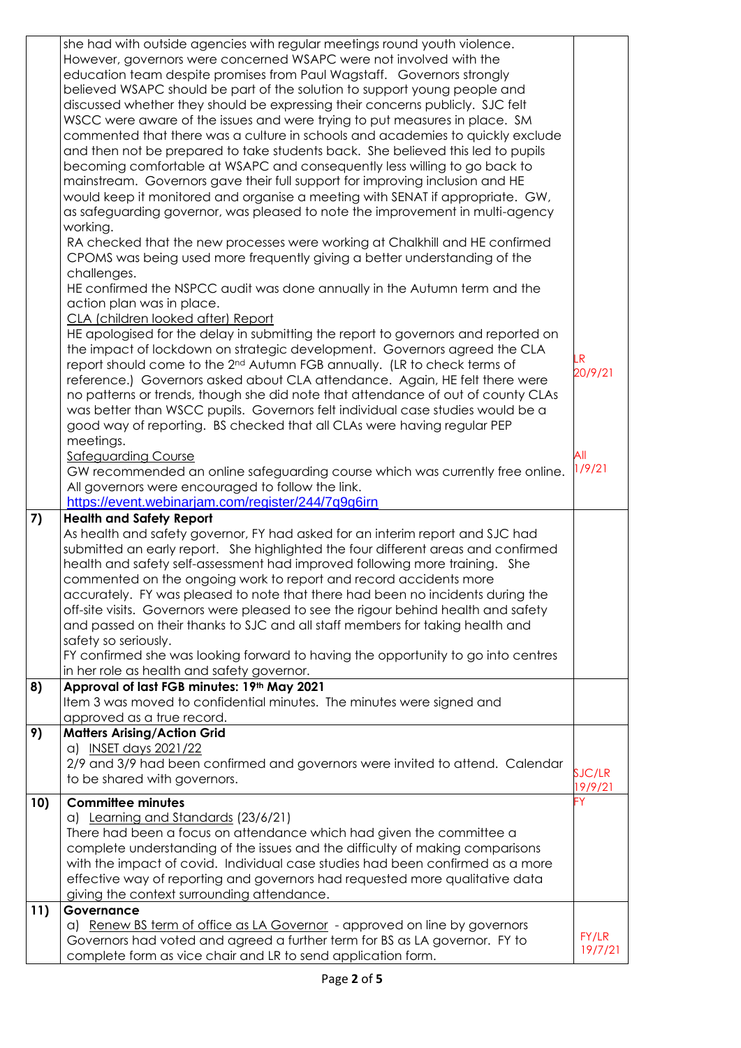|     | she had with outside agencies with regular meetings round youth violence.<br>However, governors were concerned WSAPC were not involved with the<br>education team despite promises from Paul Wagstaff. Governors strongly<br>believed WSAPC should be part of the solution to support young people and<br>discussed whether they should be expressing their concerns publicly. SJC felt<br>WSCC were aware of the issues and were trying to put measures in place. SM<br>commented that there was a culture in schools and academies to quickly exclude<br>and then not be prepared to take students back. She believed this led to pupils<br>becoming comfortable at WSAPC and consequently less willing to go back to<br>mainstream. Governors gave their full support for improving inclusion and HE<br>would keep it monitored and organise a meeting with SENAT if appropriate. GW,<br>as safeguarding governor, was pleased to note the improvement in multi-agency<br>working.<br>RA checked that the new processes were working at Chalkhill and HE confirmed<br>CPOMS was being used more frequently giving a better understanding of the<br>challenges.<br>HE confirmed the NSPCC audit was done annually in the Autumn term and the |                           |
|-----|------------------------------------------------------------------------------------------------------------------------------------------------------------------------------------------------------------------------------------------------------------------------------------------------------------------------------------------------------------------------------------------------------------------------------------------------------------------------------------------------------------------------------------------------------------------------------------------------------------------------------------------------------------------------------------------------------------------------------------------------------------------------------------------------------------------------------------------------------------------------------------------------------------------------------------------------------------------------------------------------------------------------------------------------------------------------------------------------------------------------------------------------------------------------------------------------------------------------------------------------|---------------------------|
|     | action plan was in place.<br>CLA (children looked after) Report<br>HE apologised for the delay in submitting the report to governors and reported on<br>the impact of lockdown on strategic development. Governors agreed the CLA<br>report should come to the 2 <sup>nd</sup> Autumn FGB annually. (LR to check terms of<br>reference.) Governors asked about CLA attendance. Again, HE felt there were<br>no patterns or trends, though she did note that attendance of out of county CLAs<br>was better than WSCC pupils. Governors felt individual case studies would be a<br>good way of reporting. BS checked that all CLAs were having regular PEP<br>meetings.                                                                                                                                                                                                                                                                                                                                                                                                                                                                                                                                                                         | LR<br>20/9/21             |
|     | <b>Safeguarding Course</b><br>GW recommended an online safeguarding course which was currently free online.<br>All governors were encouraged to follow the link.<br>https://event.webinarjam.com/register/244/7q9g6irn                                                                                                                                                                                                                                                                                                                                                                                                                                                                                                                                                                                                                                                                                                                                                                                                                                                                                                                                                                                                                         | $\overline{AB}$<br>1/9/21 |
| 7)  | <b>Health and Safety Report</b><br>As health and safety governor, FY had asked for an interim report and SJC had<br>submitted an early report. She highlighted the four different areas and confirmed<br>health and safety self-assessment had improved following more training. She<br>commented on the ongoing work to report and record accidents more<br>accurately. FY was pleased to note that there had been no incidents during the<br>off-site visits. Governors were pleased to see the rigour behind health and safety<br>and passed on their thanks to SJC and all staff members for taking health and<br>safety so seriously.<br>FY confirmed she was looking forward to having the opportunity to go into centres<br>in her role as health and safety governor.                                                                                                                                                                                                                                                                                                                                                                                                                                                                  |                           |
| 8)  | Approval of last FGB minutes: 19th May 2021<br>Item 3 was moved to confidential minutes. The minutes were signed and<br>approved as a true record.                                                                                                                                                                                                                                                                                                                                                                                                                                                                                                                                                                                                                                                                                                                                                                                                                                                                                                                                                                                                                                                                                             |                           |
| 9)  | <b>Matters Arising/Action Grid</b><br>a) INSET days 2021/22<br>2/9 and 3/9 had been confirmed and governors were invited to attend. Calendar<br>to be shared with governors.                                                                                                                                                                                                                                                                                                                                                                                                                                                                                                                                                                                                                                                                                                                                                                                                                                                                                                                                                                                                                                                                   | SJC/LR<br>19/9/21         |
| 10) | <b>Committee minutes</b><br>a) Learning and Standards (23/6/21)<br>There had been a focus on attendance which had given the committee a<br>complete understanding of the issues and the difficulty of making comparisons<br>with the impact of covid. Individual case studies had been confirmed as a more<br>effective way of reporting and governors had requested more qualitative data<br>giving the context surrounding attendance.                                                                                                                                                                                                                                                                                                                                                                                                                                                                                                                                                                                                                                                                                                                                                                                                       |                           |
| 11) | Governance<br>a) Renew BS term of office as LA Governor - approved on line by governors<br>Governors had voted and agreed a further term for BS as LA governor. FY to<br>complete form as vice chair and LR to send application form.                                                                                                                                                                                                                                                                                                                                                                                                                                                                                                                                                                                                                                                                                                                                                                                                                                                                                                                                                                                                          | FY/LR<br>19/7/21          |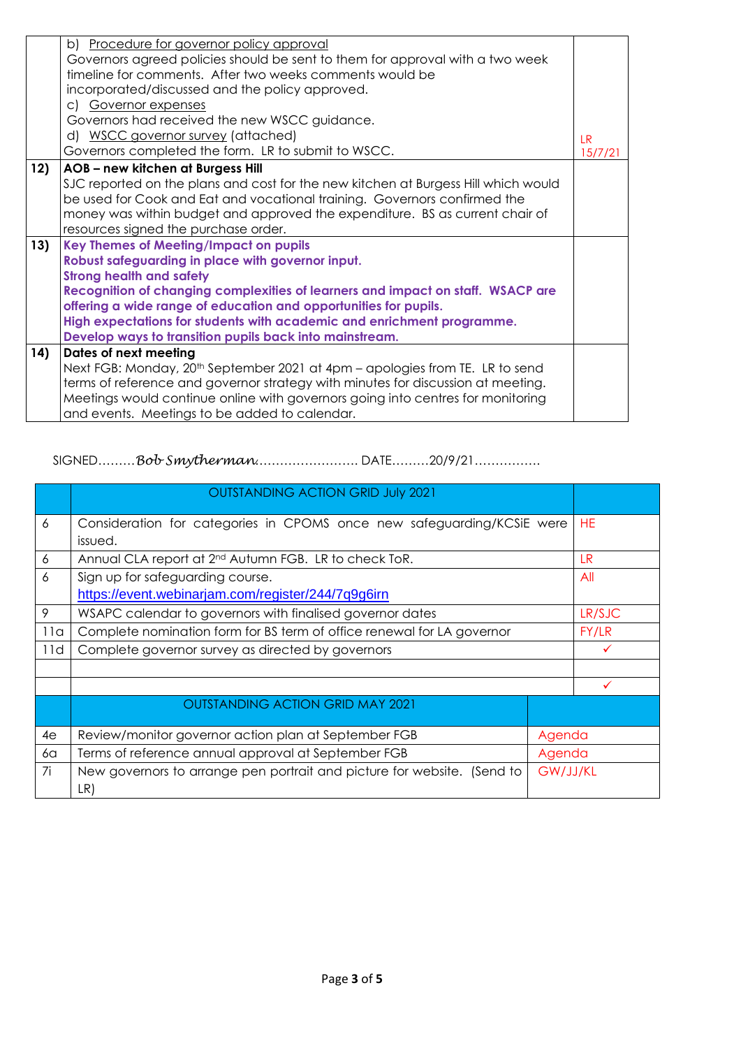|     | b) Procedure for governor policy approval                                                                                                 |         |
|-----|-------------------------------------------------------------------------------------------------------------------------------------------|---------|
|     | Governors agreed policies should be sent to them for approval with a two week<br>timeline for comments. After two weeks comments would be |         |
|     | incorporated/discussed and the policy approved.                                                                                           |         |
|     |                                                                                                                                           |         |
|     | c) Governor expenses                                                                                                                      |         |
|     | Governors had received the new WSCC guidance.                                                                                             |         |
|     | d) WSCC governor survey (attached)                                                                                                        | IR      |
|     | Governors completed the form. LR to submit to WSCC.                                                                                       | 15/7/21 |
| 12) | AOB - new kitchen at Burgess Hill                                                                                                         |         |
|     | SJC reported on the plans and cost for the new kitchen at Burgess Hill which would                                                        |         |
|     | be used for Cook and Eat and vocational training. Governors confirmed the                                                                 |         |
|     | money was within budget and approved the expenditure. BS as current chair of                                                              |         |
|     | resources signed the purchase order.                                                                                                      |         |
| 13) | <b>Key Themes of Meeting/Impact on pupils</b>                                                                                             |         |
|     | Robust safeguarding in place with governor input.                                                                                         |         |
|     | <b>Strong health and safety</b>                                                                                                           |         |
|     | Recognition of changing complexities of learners and impact on staff. WSACP are                                                           |         |
|     | offering a wide range of education and opportunities for pupils.                                                                          |         |
|     | High expectations for students with academic and enrichment programme.                                                                    |         |
|     | Develop ways to transition pupils back into mainstream.                                                                                   |         |
| 14) | Dates of next meeting                                                                                                                     |         |
|     | Next FGB: Monday, 20 <sup>th</sup> September 2021 at 4pm – apologies from TE. LR to send                                                  |         |
|     | terms of reference and governor strategy with minutes for discussion at meeting.                                                          |         |
|     | Meetings would continue online with governors going into centres for monitoring                                                           |         |
|     | and events. Meetings to be added to calendar.                                                                                             |         |

SIGNED………*Bob Smytherman*……………………. DATE………20/9/21…………….

|     | <b>OUTSTANDING ACTION GRID July 2021</b>                                       |          |              |
|-----|--------------------------------------------------------------------------------|----------|--------------|
| 6   | Consideration for categories in CPOMS once new safeguarding/KCSiE were         |          | <b>HE</b>    |
|     | issued.                                                                        |          |              |
| 6   | Annual CLA report at 2 <sup>nd</sup> Autumn FGB. LR to check ToR.              |          | LR.          |
| 6   | Sign up for safeguarding course.                                               |          | All          |
|     | https://event.webinarjam.com/register/244/7q9q6irn                             |          |              |
| 9   | WSAPC calendar to governors with finalised governor dates                      |          | LR/SJC       |
| 11a | Complete nomination form for BS term of office renewal for LA governor         |          | FY/LR        |
| 11d | Complete governor survey as directed by governors                              |          |              |
|     |                                                                                |          |              |
|     |                                                                                |          | $\checkmark$ |
|     | <b>OUTSTANDING ACTION GRID MAY 2021</b>                                        |          |              |
| 4e  | Review/monitor governor action plan at September FGB                           | Agenda   |              |
| 6a  | Terms of reference annual approval at September FGB<br>Agenda                  |          |              |
| 7i  | New governors to arrange pen portrait and picture for website. (Send to<br>LR) | GW/JJ/KL |              |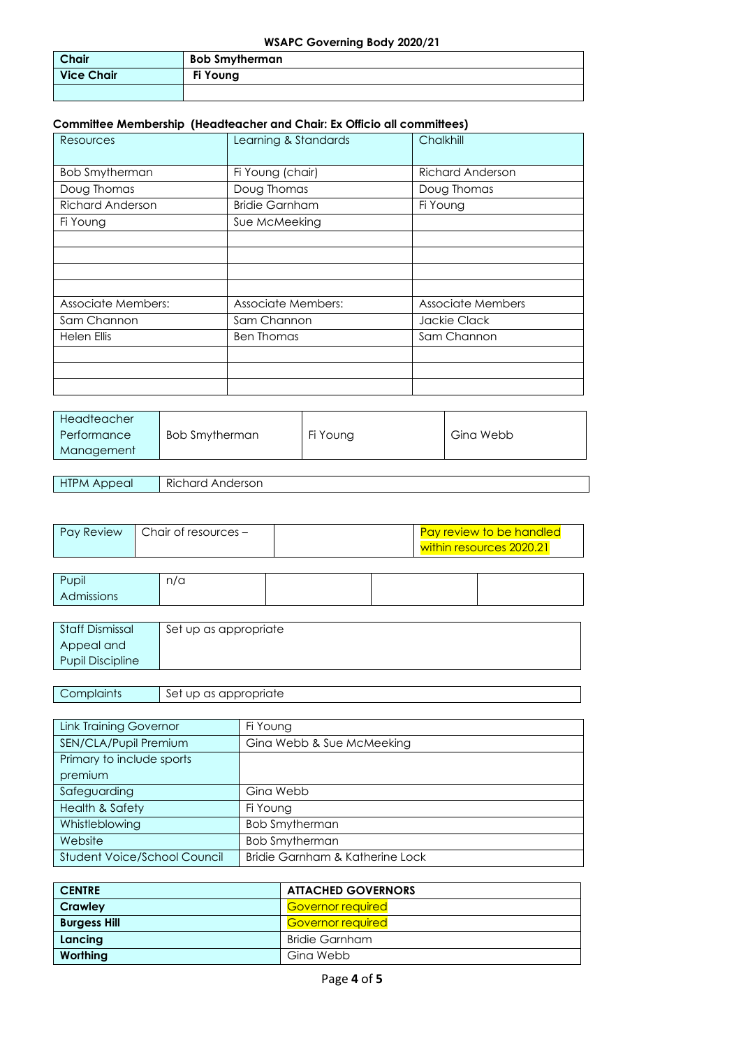## **WSAPC Governing Body 2020/21**

| <b>Chair</b>      | <b>Bob Smytherman</b> |
|-------------------|-----------------------|
| <b>Vice Chair</b> | Fi Young              |
|                   |                       |

## **Committee Membership (Headteacher and Chair: Ex Officio all committees)**

| Resources                 | Learning & Standards      | Chalkhill                |
|---------------------------|---------------------------|--------------------------|
| <b>Bob Smytherman</b>     | Fi Young (chair)          | <b>Richard Anderson</b>  |
| Doug Thomas               | Doug Thomas               | Doug Thomas              |
| <b>Richard Anderson</b>   | <b>Bridie Garnham</b>     | Fi Young                 |
| Fi Young                  | Sue McMeeking             |                          |
|                           |                           |                          |
|                           |                           |                          |
|                           |                           |                          |
|                           |                           |                          |
| <b>Associate Members:</b> | <b>Associate Members:</b> | <b>Associate Members</b> |
| Sam Channon               | Sam Channon               | Jackie Clack             |
| Helen Ellis               | <b>Ben Thomas</b>         | Sam Channon              |
|                           |                           |                          |
|                           |                           |                          |
|                           |                           |                          |

| Headteacher |                |          |           |
|-------------|----------------|----------|-----------|
| Performance | Bob Smytherman | Fi Young | Gina Webb |
| Management  |                |          |           |

HTPM Appeal Richard Anderson

| <b>Pay Review</b> | $\blacksquare$ Chair of resources $-$ | Pay review to be handled |
|-------------------|---------------------------------------|--------------------------|
|                   |                                       | within resources 2020.21 |

| Pupil      | n/a |  |  |
|------------|-----|--|--|
| Admissions |     |  |  |
|            |     |  |  |

| Staff Dismissal         | Set up as appropriate |
|-------------------------|-----------------------|
| Appeal and              |                       |
| <b>Pupil Discipline</b> |                       |

## Complaints Set up as appropriate

| <b>Link Training Governor</b> | Fi Young                        |
|-------------------------------|---------------------------------|
| SEN/CLA/Pupil Premium         | Gina Webb & Sue McMeeking       |
| Primary to include sports     |                                 |
| premium                       |                                 |
| Safeguarding                  | Gina Webb                       |
| <b>Health &amp; Safety</b>    | Fi Young                        |
| Whistleblowing                | <b>Bob Smytherman</b>           |
| Website                       | <b>Bob Smytherman</b>           |
| Student Voice/School Council  | Bridie Garnham & Katherine Lock |

| <b>CENTRE</b>       | <b>ATTACHED GOVERNORS</b> |
|---------------------|---------------------------|
| Crawley             | <b>Governor required</b>  |
| <b>Burgess Hill</b> | <b>Governor required</b>  |
| Lancing             | <b>Bridie Garnham</b>     |
| Worthing            | Gina Webb                 |